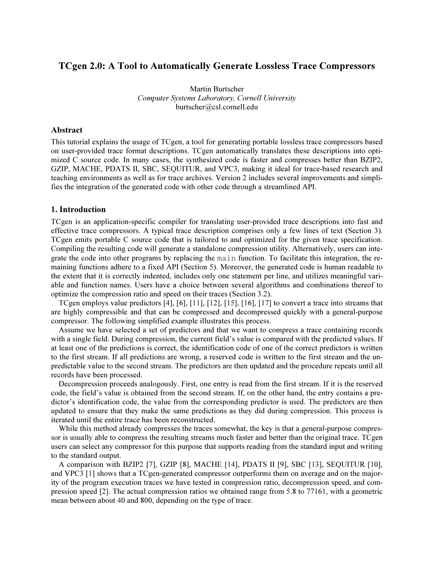# $\mathbf{F}_{\mathbf{S}}$ . A to Automatically Generate Lossless Trace Compressors  $\mathbf{F}_{\mathbf{S}}$

Martin Burtscher Computer Systems Laboratory, Cornell University burtscher@csl.cornell.edu

## Abstract

This tutorial explains the usage of TCgen, a tool for generating portable lossless trace compressors based on user-provided trace format descriptions. TCgen automatically translates these descriptions into optimized C source code. In many cases, the synthesized code is faster and compresses better than BZIP2, GZIP, MACHE, PDATS II, SBC, SEQUITUR, and VPC3, making it ideal for trace-based research and teaching environments as well as for trace archives. Version 2 includes several improvements and simplifies the integration of the generated code with other code through a streamlined API.

#### 1. Introduction

TCgen is an application-specific compiler for translating user-provided trace descriptions into fast and effective trace compressors. A typical trace description comprises only a few lines of text (Section 3). TCgen emits portable C source code that is tailored to and optimized for the given trace specification. Compiling the resulting code will generate a standalone compression utility. Alternatively, users can integrate the code into other programs by replacing the main function. To facilitate this integration, the remaining functions adhere to a fixed API (Section 5). Moreover, the generated code is human readable to the extent that it is correctly indented, includes only one statement per line, and utilizes meaningful variable and function names. Users have a choice between several algorithms and combinations thereof to optimize the compression ratio and speed on their traces (Section 3.2).

TCgen employs value predictors [4], [6], [11], [12], [15], [16], [17] to convert a trace into streams that are highly compressible and that can be compressed and decompressed quickly with a general-purpose compressor. The following simplified example illustrates this process.

Assume we have selected a set of predictors and that we want to compress a trace containing records with a single field. During compression, the current field's value is compared with the predicted values. If at least one of the predictions is correct, the identification code of one of the correct predictors is written to the first stream. If all predictions are wrong, a reserved code is written to the first stream and the unpredictable value to the second stream. The predictors are then updated and the procedure repeats until all records have been processed.

Decompression proceeds analogously. First, one entry is read from the first stream. If it is the reserved code, the field's value is obtained from the second stream. If, on the other hand, the entry contains a predictor's identification code, the value from the corresponding predictor is used. The predictors are then updated to ensure that they make the same predictions as they did during compression. This process is iterated until the entire trace has been reconstructed.

While this method already compresses the traces somewhat, the key is that a general-purpose compressor is usually able to compress the resulting streams much faster and better than the original trace. TCgen users can select any compressor for this purpose that supports reading from the standard input and writing to the standard output.

A comparison with BZIP2 [7], GZIP [8], MACHE [14], PDATS II [9], SBC [13], SEQUITUR [10], and VPC3 [1] shows that a TCgen-generated compressor outperforms them on average and on the majority of the program execution traces we have tested in compression ratio, decompression speed, and compression speed [2]. The actual compression ratios we obtained range from 5.8 to 77161, with a geometric mean between about 40 and 800, depending on the type of trace.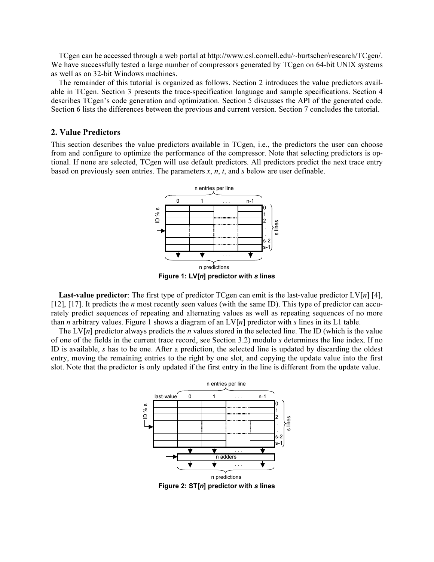TCgen can be accessed through a web portal at http://www.csl.cornell.edu/~burtscher/research/TCgen/. We have successfully tested a large number of compressors generated by TCgen on 64-bit UNIX systems as well as on 32-bit Windows machines.

The remainder of this tutorial is organized as follows. Section 2 introduces the value predictors available in TCgen. Section 3 presents the trace-specification language and sample specifications. Section 4 describes TCgen's code generation and optimization. Section 5 discusses the API of the generated code. Section 6 lists the differences between the previous and current version. Section 7 concludes the tutorial.

## 2. Value Predictors

This section describes the value predictors available in TCgen, i.e., the predictors the user can choose from and configure to optimize the performance of the compressor. Note that selecting predictors is optional. If none are selected, TCgen will use default predictors. All predictors predict the next trace entry based on previously seen entries. The parameters  $x, n, t$ , and  $s$  below are user definable.



Figure 1: LV[n] predictor with s lines

**Last-value predictor**: The first type of predictor TCgen can emit is the last-value predictor  $LV[n]$  [4], [12], [17]. It predicts the *n* most recently seen values (with the same ID). This type of predictor can accurately predict sequences of repeating and alternating values as well as repeating sequences of no more than *n* arbitrary values. Figure 1 shows a diagram of an  $LV[n]$  predictor with *s* lines in its L1 table.

The  $LV[n]$  predictor always predicts the *n* values stored in the selected line. The ID (which is the value of one of the fields in the current trace record, see Section 3.2) modulo s determines the line index. If no ID is available,  $s$  has to be one. After a prediction, the selected line is updated by discarding the oldest entry, moving the remaining entries to the right by one slot, and copying the update value into the first slot. Note that the predictor is only updated if the first entry in the line is different from the update value.



Figure 2:  $ST[n]$  predictor with s lines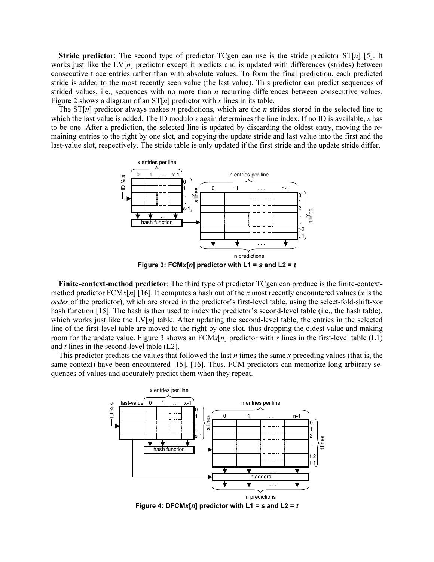**Stride predictor:** The second type of predictor TCgen can use is the stride predictor  $ST[n]$  [5]. It works just like the  $LV[n]$  predictor except it predicts and is updated with differences (strides) between consecutive trace entries rather than with absolute values. To form the final prediction, each predicted stride is added to the most recently seen value (the last value). This predictor can predict sequences of strided values, i.e., sequences with no more than  $n$  recurring differences between consecutive values. Figure 2 shows a diagram of an  $ST[n]$  predictor with s lines in its table.

The  $ST[n]$  predictor always makes n predictions, which are the n strides stored in the selected line to which the last value is added. The ID modulo s again determines the line index. If no ID is available, s has to be one. After a prediction, the selected line is updated by discarding the oldest entry, moving the remaining entries to the right by one slot, and copying the update stride and last value into the first and the last-value slot, respectively. The stride table is only updated if the first stride and the update stride differ.



Finite-context-method predictor: The third type of predictor TCgen can produce is the finite-contextmethod predictor  $FCMx[n]$  [16]. It computes a hash out of the x most recently encountered values (x is the order of the predictor), which are stored in the predictor's first-level table, using the select-fold-shift-xor hash function [15]. The hash is then used to index the predictor's second-level table (i.e., the hash table), which works just like the  $LV[n]$  table. After updating the second-level table, the entries in the selected line of the first-level table are moved to the right by one slot, thus dropping the oldest value and making room for the update value. Figure 3 shows an  $FCMx[n]$  predictor with s lines in the first-level table (L1) and  $t$  lines in the second-level table  $(L2)$ .

This predictor predicts the values that followed the last  $n$  times the same  $x$  preceding values (that is, the same context) have been encountered [15], [16]. Thus, FCM predictors can memorize long arbitrary sequences of values and accurately predict them when they repeat.



Figure 4: DFCMx[n] predictor with  $L1 = s$  and  $L2 = t$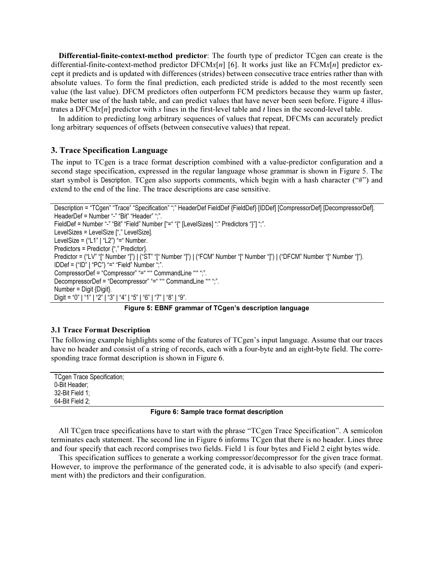Differential-finite-context-method predictor: The fourth type of predictor TCgen can create is the differential-finite-context-method predictor DFCMx[n] [6]. It works just like an  $FCMx[n]$  predictor except it predicts and is updated with differences (strides) between consecutive trace entries rather than with absolute values. To form the final prediction, each predicted stride is added to the most recently seen value (the last value). DFCM predictors often outperform FCM predictors because they warm up faster, make better use of the hash table, and can predict values that have never been seen before. Figure 4 illustrates a  $DFCMx[n]$  predictor with s lines in the first-level table and t lines in the second-level table.

In addition to predicting long arbitrary sequences of values that repeat, DFCMs can accurately predict long arbitrary sequences of offsets (between consecutive values) that repeat.

#### 3. Trace Specification Language

The input to TCgen is a trace format description combined with a value-predictor configuration and a second stage specification, expressed in the regular language whose grammar is shown in Figure 5. The start symbol is Description. TCgen also supports comments, which begin with a hash character ("#") and extend to the end of the line. The trace descriptions are case sensitive.

```
 Description = "TCgen" "Trace" "Specification" ";" HeaderDef FieldDef {FieldDef} [IDDef] [CompressorDef] [DecompressorDef]. 
HeaderDef = Number "-" "Bit" "Header" ";".
FieldDef = Number "-" "Bit" "Field" Number ["=" "{" [LevelSizes] ":" Predictors "}"] ";".
 LevelSizes = LevelSize ["," LevelSize]. 
LevelSize = ("L1" | "L2") "=" Number. Predictors = Predictor {"," Predictor}. 
Predictor = ("LV" "[" Number "]") | ("ST" "[" Number "]") | ("FCM" Number "[" Number "]") | ("DFCM" Number "[" Number "]").
 IDDef = ("ID" | "PC") "=" "Field" Number ";". 
CompressorDef = "Compressor" "=" """ CommandLine "" ";".
DecompressorDef = "Decompressor" "=" """ CommandLine "" ",".
 Number = Digit {Digit}. 
 Digit = "0" | "1" | "2" | "3" | "4" | "5" | "6" | "7" | "8" | "9".
```
Figure 5: EBNF grammar of TCgen's description language

## 3.1 Trace Format Description

The following example highlights some of the features of TCgen's input language. Assume that our traces have no header and consist of a string of records, each with a four-byte and an eight-byte field. The corresponding trace format description is shown in Figure 6.

| TCgen Trace Specification; |  |
|----------------------------|--|
| 0-Bit Header;              |  |
| 32-Bit Field 1;            |  |
| 64-Bit Field 2;            |  |

#### Figure 6: Sample trace format description

All TCgen trace specifications have to start with the phrase "TCgen Trace Specification". A semicolon terminates each statement. The second line in Figure 6 informs TCgen that there is no header. Lines three and four specify that each record comprises two fields. Field 1 is four bytes and Field 2 eight bytes wide.

This specification suffices to generate a working compressor/decompressor for the given trace format. However, to improve the performance of the generated code, it is advisable to also specify (and experiment with) the predictors and their configuration.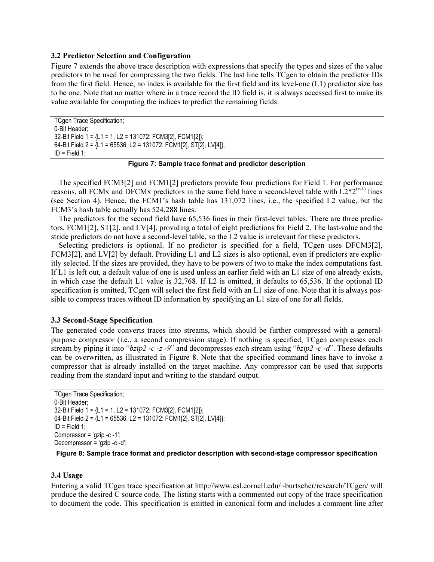#### 3.2 Predictor Selection and Configuration

Figure 7 extends the above trace description with expressions that specify the types and sizes of the value predictors to be used for compressing the two fields. The last line tells TCgen to obtain the predictor IDs from the first field. Hence, no index is available for the first field and its level-one (L1) predictor size has to be one. Note that no matter where in a trace record the ID field is, it is always accessed first to make its value available for computing the indices to predict the remaining fields.

 TCgen Trace Specification; 0-Bit Header; 32-Bit Field 1 = {L1 = 1, L2 = 131072: FCM3[2], FCM1[2]}; 64-Bit Field 2 = {L1 = 65536, L2 = 131072: FCM1[2], ST[2], LV[4]}; ID = Field 1;

## Figure 7: Sample trace format and predictor description

The specified FCM3[2] and FCM1[2] predictors provide four predictions for Field 1. For performance reasons, all FCMx and DFCMx predictors in the same field have a second-level table with  $L2*2^{(x-1)}$  lines (see Section 4). Hence, the FCM1's hash table has 131,072 lines, i.e., the specified L2 value, but the FCM3's hash table actually has 524,288 lines.

The predictors for the second field have 65,536 lines in their first-level tables. There are three predictors, FCM1[2], ST[2], and LV[4], providing a total of eight predictions for Field 2. The last-value and the stride predictors do not have a second-level table, so the L2 value is irrelevant for these predictors.

Selecting predictors is optional. If no predictor is specified for a field, TCgen uses DFCM3[2], FCM3[2], and LV[2] by default. Providing L1 and L2 sizes is also optional, even if predictors are explicitly selected. If the sizes are provided, they have to be powers of two to make the index computations fast. If L1 is left out, a default value of one is used unless an earlier field with an L1 size of one already exists, in which case the default L1 value is 32,768. If L2 is omitted, it defaults to 65,536. If the optional ID specification is omitted, TCgen will select the first field with an L1 size of one. Note that it is always possible to compress traces without ID information by specifying an L1 size of one for all fields.

#### 3.3 Second-Stage Specification

The generated code converts traces into streams, which should be further compressed with a generalpurpose compressor (i.e., a second compression stage). If nothing is specified, TCgen compresses each stream by piping it into " $bzip2 -c -z -9$ " and decompresses each stream using " $bzip2 -c -d$ ". These defaults can be overwritten, as illustrated in Figure 8. Note that the specified command lines have to invoke a compressor that is already installed on the target machine. Any compressor can be used that supports reading from the standard input and writing to the standard output.

```
 TCgen Trace Specification; 
 0-Bit Header; 
 32-Bit Field 1 = {L1 = 1, L2 = 131072: FCM3[2], FCM1[2]}; 
 64-Bit Field 2 = {L1 = 65536, L2 = 131072: FCM1[2], ST[2], LV[4]}; 
 ID = Field 1; 
 Compressor = 'gzip -c -1'; 
 Decompressor = 'gzip -c -d';
```
Figure 8: Sample trace format and predictor description with second-stage compressor specification

#### 3.4 Usage

Entering a valid TCgen trace specification at http://www.csl.cornell.edu/~burtscher/research/TCgen/ will produce the desired C source code. The listing starts with a commented out copy of the trace specification to document the code. This specification is emitted in canonical form and includes a comment line after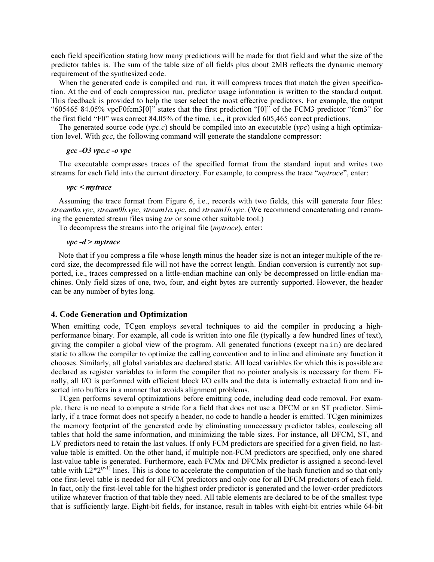each field specification stating how many predictions will be made for that field and what the size of the predictor tables is. The sum of the table size of all fields plus about 2MB reflects the dynamic memory requirement of the synthesized code.

When the generated code is compiled and run, it will compress traces that match the given specification. At the end of each compression run, predictor usage information is written to the standard output. This feedback is provided to help the user select the most effective predictors. For example, the output "605465 84.05% vpcF0fcm3[0]" states that the first prediction "[0]" of the FCM3 predictor "fcm3" for the first field "F0" was correct 84.05% of the time, i.e., it provided 605,465 correct predictions.

The generated source code ( $vpc.c$ ) should be compiled into an executable ( $vpc$ ) using a high optimization level. With  $\alpha c$ , the following command will generate the standalone compressor:

#### gcc -O3 vpc.c -o vpc

The executable compresses traces of the specified format from the standard input and writes two streams for each field into the current directory. For example, to compress the trace "mytrace", enter:

#### vpc < mytrace

Assuming the trace format from Figure 6, i.e., records with two fields, this will generate four files: stream0a.vpc, stream0b.vpc, stream1a.vpc, and stream1b.vpc. (We recommend concatenating and renaming the generated stream files using tar or some other suitable tool.)

To decompress the streams into the original file (mytrace), enter:

#### $vpc - d$  > mytrace

Note that if you compress a file whose length minus the header size is not an integer multiple of the record size, the decompressed file will not have the correct length. Endian conversion is currently not supported, i.e., traces compressed on a little-endian machine can only be decompressed on little-endian machines. Only field sizes of one, two, four, and eight bytes are currently supported. However, the header can be any number of bytes long.

#### 4. Code Generation and Optimization

When emitting code, TCgen employs several techniques to aid the compiler in producing a highperformance binary. For example, all code is written into one file (typically a few hundred lines of text), giving the compiler a global view of the program. All generated functions (except main) are declared static to allow the compiler to optimize the calling convention and to inline and eliminate any function it chooses. Similarly, all global variables are declared static. All local variables for which this is possible are declared as register variables to inform the compiler that no pointer analysis is necessary for them. Finally, all I/O is performed with efficient block I/O calls and the data is internally extracted from and inserted into buffers in a manner that avoids alignment problems.

TCgen performs several optimizations before emitting code, including dead code removal. For example, there is no need to compute a stride for a field that does not use a DFCM or an ST predictor. Similarly, if a trace format does not specify a header, no code to handle a header is emitted. TCgen minimizes the memory footprint of the generated code by eliminating unnecessary predictor tables, coalescing all tables that hold the same information, and minimizing the table sizes. For instance, all DFCM, ST, and LV predictors need to retain the last values. If only FCM predictors are specified for a given field, no lastvalue table is emitted. On the other hand, if multiple non-FCM predictors are specified, only one shared last-value table is generated. Furthermore, each FCMx and DFCMx predictor is assigned a second-level table with  $L2*2^{(x-1)}$  lines. This is done to accelerate the computation of the hash function and so that only one first-level table is needed for all FCM predictors and only one for all DFCM predictors of each field. In fact, only the first-level table for the highest order predictor is generated and the lower-order predictors utilize whatever fraction of that table they need. All table elements are declared to be of the smallest type that is sufficiently large. Eight-bit fields, for instance, result in tables with eight-bit entries while 64-bit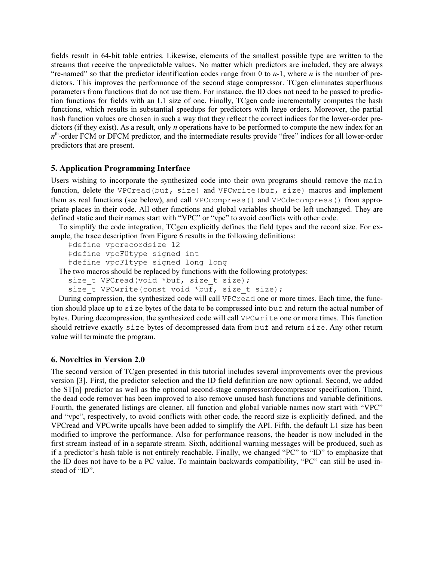fields result in 64-bit table entries. Likewise, elements of the smallest possible type are written to the streams that receive the unpredictable values. No matter which predictors are included, they are always "re-named" so that the predictor identification codes range from 0 to  $n-1$ , where n is the number of predictors. This improves the performance of the second stage compressor. TCgen eliminates superfluous parameters from functions that do not use them. For instance, the ID does not need to be passed to prediction functions for fields with an L1 size of one. Finally, TCgen code incrementally computes the hash functions, which results in substantial speedups for predictors with large orders. Moreover, the partial hash function values are chosen in such a way that they reflect the correct indices for the lower-order predictors (if they exist). As a result, only *n* operations have to be performed to compute the new index for an  $n<sup>th</sup>$ -order FCM or DFCM predictor, and the intermediate results provide "free" indices for all lower-order predictors that are present.

## 5. Application Programming Interface

Users wishing to incorporate the synthesized code into their own programs should remove the main function, delete the VPCread(buf, size) and VPCwrite(buf, size) macros and implement them as real functions (see below), and call VPCcompress() and VPCdecompress() from appropriate places in their code. All other functions and global variables should be left unchanged. They are defined static and their names start with "VPC" or "vpc" to avoid conflicts with other code.

To simplify the code integration, TCgen explicitly defines the field types and the record size. For example, the trace description from Figure 6 results in the following definitions:

```
 #define vpcrecordsize 12 
   #define vpcF0type signed int 
   #define vpcF1type signed long long 
The two macros should be replaced by functions with the following prototypes:
```

```
size t VPCread(void *buf, size t size);
```
size t VPCwrite(const void \*buf, size t size);

During compression, the synthesized code will call VPCread one or more times. Each time, the function should place up to size bytes of the data to be compressed into buf and return the actual number of bytes. During decompression, the synthesized code will call VPCwrite one or more times. This function should retrieve exactly size bytes of decompressed data from buf and return size. Any other return value will terminate the program.

## 6. Novelties in Version 2.0

The second version of TCgen presented in this tutorial includes several improvements over the previous version [3]. First, the predictor selection and the ID field definition are now optional. Second, we added the ST[n] predictor as well as the optional second-stage compressor/decompressor specification. Third, the dead code remover has been improved to also remove unused hash functions and variable definitions. Fourth, the generated listings are cleaner, all function and global variable names now start with "VPC" and "vpc", respectively, to avoid conflicts with other code, the record size is explicitly defined, and the VPCread and VPCwrite upcalls have been added to simplify the API. Fifth, the default L1 size has been modified to improve the performance. Also for performance reasons, the header is now included in the first stream instead of in a separate stream. Sixth, additional warning messages will be produced, such as if a predictor's hash table is not entirely reachable. Finally, we changed "PC" to "ID" to emphasize that the ID does not have to be a PC value. To maintain backwards compatibility, "PC" can still be used instead of "ID".